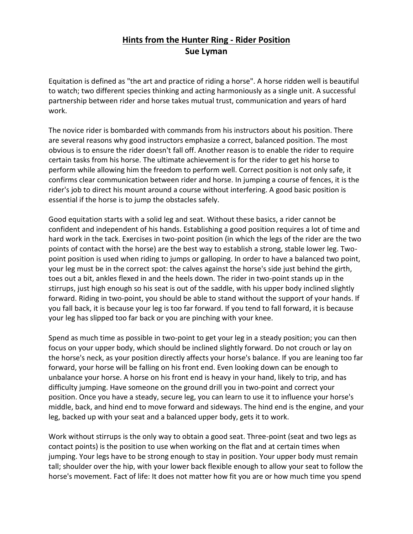## **Hints from the Hunter Ring - Rider Position Sue Lyman**

Equitation is defined as "the art and practice of riding a horse". A horse ridden well is beautiful to watch; two different species thinking and acting harmoniously as a single unit. A successful partnership between rider and horse takes mutual trust, communication and years of hard work.

The novice rider is bombarded with commands from his instructors about his position. There are several reasons why good instructors emphasize a correct, balanced position. The most obvious is to ensure the rider doesn't fall off. Another reason is to enable the rider to require certain tasks from his horse. The ultimate achievement is for the rider to get his horse to perform while allowing him the freedom to perform well. Correct position is not only safe, it confirms clear communication between rider and horse. In jumping a course of fences, it is the rider's job to direct his mount around a course without interfering. A good basic position is essential if the horse is to jump the obstacles safely.

Good equitation starts with a solid leg and seat. Without these basics, a rider cannot be confident and independent of his hands. Establishing a good position requires a lot of time and hard work in the tack. Exercises in two-point position (in which the legs of the rider are the two points of contact with the horse) are the best way to establish a strong, stable lower leg. Twopoint position is used when riding to jumps or galloping. In order to have a balanced two point, your leg must be in the correct spot: the calves against the horse's side just behind the girth, toes out a bit, ankles flexed in and the heels down. The rider in two-point stands up in the stirrups, just high enough so his seat is out of the saddle, with his upper body inclined slightly forward. Riding in two-point, you should be able to stand without the support of your hands. If you fall back, it is because your leg is too far forward. If you tend to fall forward, it is because your leg has slipped too far back or you are pinching with your knee.

Spend as much time as possible in two-point to get your leg in a steady position; you can then focus on your upper body, which should be inclined slightly forward. Do not crouch or lay on the horse's neck, as your position directly affects your horse's balance. If you are leaning too far forward, your horse will be falling on his front end. Even looking down can be enough to unbalance your horse. A horse on his front end is heavy in your hand, likely to trip, and has difficulty jumping. Have someone on the ground drill you in two-point and correct your position. Once you have a steady, secure leg, you can learn to use it to influence your horse's middle, back, and hind end to move forward and sideways. The hind end is the engine, and your leg, backed up with your seat and a balanced upper body, gets it to work.

Work without stirrups is the only way to obtain a good seat. Three-point (seat and two legs as contact points) is the position to use when working on the flat and at certain times when jumping. Your legs have to be strong enough to stay in position. Your upper body must remain tall; shoulder over the hip, with your lower back flexible enough to allow your seat to follow the horse's movement. Fact of life: It does not matter how fit you are or how much time you spend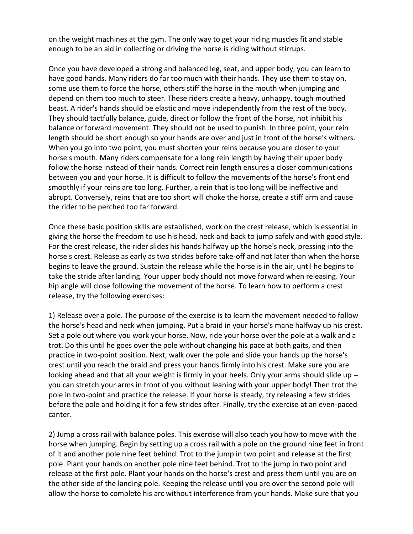on the weight machines at the gym. The only way to get your riding muscles fit and stable enough to be an aid in collecting or driving the horse is riding without stirrups.

Once you have developed a strong and balanced leg, seat, and upper body, you can learn to have good hands. Many riders do far too much with their hands. They use them to stay on, some use them to force the horse, others stiff the horse in the mouth when jumping and depend on them too much to steer. These riders create a heavy, unhappy, tough mouthed beast. A rider's hands should be elastic and move independently from the rest of the body. They should tactfully balance, guide, direct or follow the front of the horse, not inhibit his balance or forward movement. They should not be used to punish. In three point, your rein length should be short enough so your hands are over and just in front of the horse's withers. When you go into two point, you must shorten your reins because you are closer to your horse's mouth. Many riders compensate for a long rein length by having their upper body follow the horse instead of their hands. Correct rein length ensures a closer communications between you and your horse. It is difficult to follow the movements of the horse's front end smoothly if your reins are too long. Further, a rein that is too long will be ineffective and abrupt. Conversely, reins that are too short will choke the horse, create a stiff arm and cause the rider to be perched too far forward.

Once these basic position skills are established, work on the crest release, which is essential in giving the horse the freedom to use his head, neck and back to jump safely and with good style. For the crest release, the rider slides his hands halfway up the horse's neck, pressing into the horse's crest. Release as early as two strides before take-off and not later than when the horse begins to leave the ground. Sustain the release while the horse is in the air, until he begins to take the stride after landing. Your upper body should not move forward when releasing. Your hip angle will close following the movement of the horse. To learn how to perform a crest release, try the following exercises:

1) Release over a pole. The purpose of the exercise is to learn the movement needed to follow the horse's head and neck when jumping. Put a braid in your horse's mane halfway up his crest. Set a pole out where you work your horse. Now, ride your horse over the pole at a walk and a trot. Do this until he goes over the pole without changing his pace at both gaits, and then practice in two-point position. Next, walk over the pole and slide your hands up the horse's crest until you reach the braid and press your hands firmly into his crest. Make sure you are looking ahead and that all your weight is firmly in your heels. Only your arms should slide up - you can stretch your arms in front of you without leaning with your upper body! Then trot the pole in two-point and practice the release. If your horse is steady, try releasing a few strides before the pole and holding it for a few strides after. Finally, try the exercise at an even-paced canter.

2) Jump a cross rail with balance poles. This exercise will also teach you how to move with the horse when jumping. Begin by setting up a cross rail with a pole on the ground nine feet in front of it and another pole nine feet behind. Trot to the jump in two point and release at the first pole. Plant your hands on another pole nine feet behind. Trot to the jump in two point and release at the first pole. Plant your hands on the horse's crest and press them until you are on the other side of the landing pole. Keeping the release until you are over the second pole will allow the horse to complete his arc without interference from your hands. Make sure that you